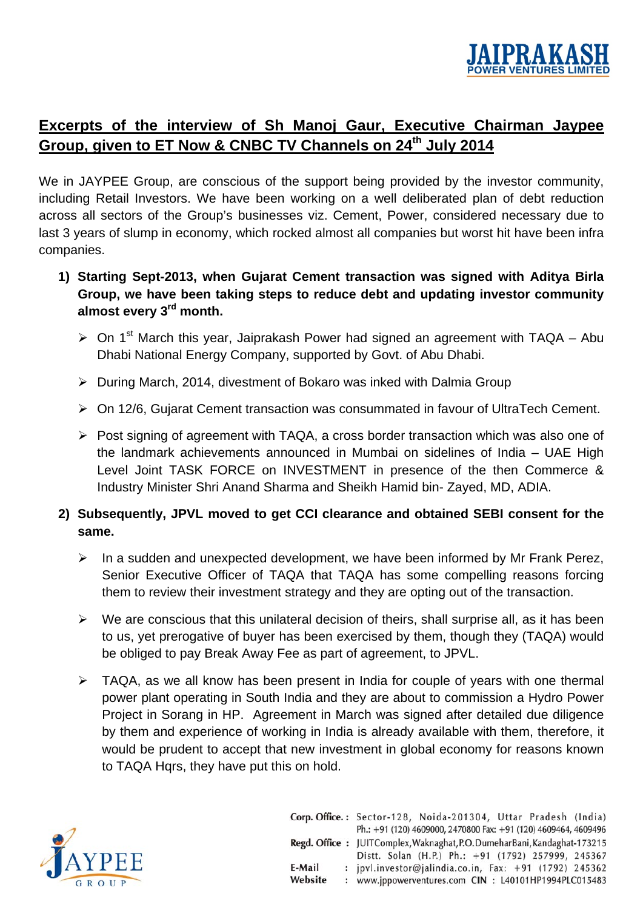

## **Excerpts of the interview of Sh Manoj Gaur, Executive Chairman Jaypee**  Group, given to ET Now & CNBC TV Channels on 24<sup>th</sup> July 2014

We in JAYPEE Group, are conscious of the support being provided by the investor community, including Retail Investors. We have been working on a well deliberated plan of debt reduction across all sectors of the Group's businesses viz. Cement, Power, considered necessary due to last 3 years of slump in economy, which rocked almost all companies but worst hit have been infra companies.

- **1) Starting Sept-2013, when Gujarat Cement transaction was signed with Aditya Birla Group, we have been taking steps to reduce debt and updating investor community almost every 3rd month.** 
	- $\triangleright$  On 1<sup>st</sup> March this year, Jaiprakash Power had signed an agreement with TAQA Abu Dhabi National Energy Company, supported by Govt. of Abu Dhabi.
	- ¾ During March, 2014, divestment of Bokaro was inked with Dalmia Group
	- ¾ On 12/6, Gujarat Cement transaction was consummated in favour of UltraTech Cement.
	- ¾ Post signing of agreement with TAQA, a cross border transaction which was also one of the landmark achievements announced in Mumbai on sidelines of India – UAE High Level Joint TASK FORCE on INVESTMENT in presence of the then Commerce & Industry Minister Shri Anand Sharma and Sheikh Hamid bin- Zayed, MD, ADIA.

## **2) Subsequently, JPVL moved to get CCI clearance and obtained SEBI consent for the same.**

- $\triangleright$  In a sudden and unexpected development, we have been informed by Mr Frank Perez, Senior Executive Officer of TAQA that TAQA has some compelling reasons forcing them to review their investment strategy and they are opting out of the transaction.
- $\triangleright$  We are conscious that this unilateral decision of theirs, shall surprise all, as it has been to us, yet prerogative of buyer has been exercised by them, though they (TAQA) would be obliged to pay Break Away Fee as part of agreement, to JPVL.
- $\triangleright$  TAQA, as we all know has been present in India for couple of vears with one thermal power plant operating in South India and they are about to commission a Hydro Power Project in Sorang in HP. Agreement in March was signed after detailed due diligence by them and experience of working in India is already available with them, therefore, it would be prudent to accept that new investment in global economy for reasons known to TAQA Hqrs, they have put this on hold.